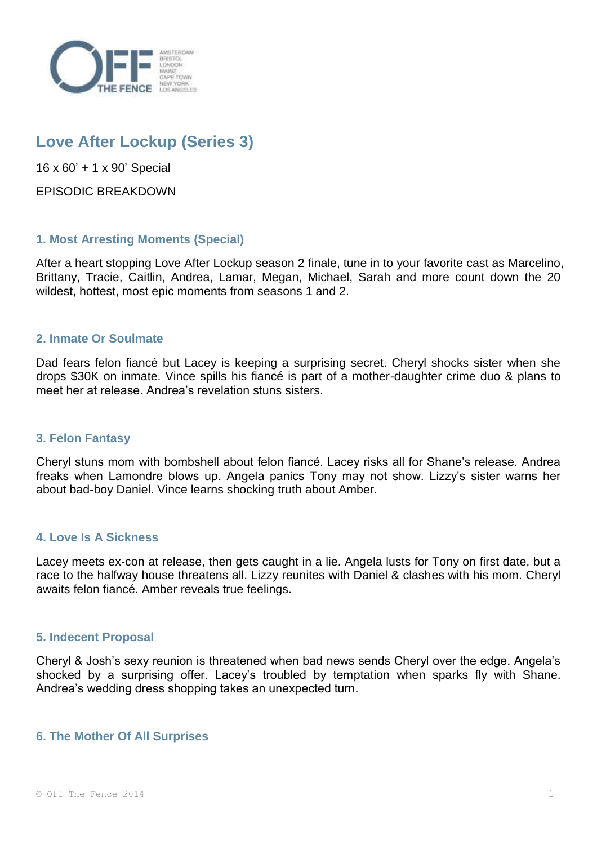

# **Love After Lockup (Series 3)**

16 x 60' + 1 x 90' Special

EPISODIC BREAKDOWN

# **1. Most Arresting Moments (Special)**

After a heart stopping Love After Lockup season 2 finale, tune in to your favorite cast as Marcelino, Brittany, Tracie, Caitlin, Andrea, Lamar, Megan, Michael, Sarah and more count down the 20 wildest, hottest, most epic moments from seasons 1 and 2.

# **2. Inmate Or Soulmate**

Dad fears felon fiancé but Lacey is keeping a surprising secret. Cheryl shocks sister when she drops \$30K on inmate. Vince spills his fiancé is part of a mother-daughter crime duo & plans to meet her at release. Andrea's revelation stuns sisters.

# **3. Felon Fantasy**

Cheryl stuns mom with bombshell about felon fiancé. Lacey risks all for Shane's release. Andrea freaks when Lamondre blows up. Angela panics Tony may not show. Lizzy's sister warns her about bad-boy Daniel. Vince learns shocking truth about Amber.

# **4. Love Is A Sickness**

Lacey meets ex-con at release, then gets caught in a lie. Angela lusts for Tony on first date, but a race to the halfway house threatens all. Lizzy reunites with Daniel & clashes with his mom. Cheryl awaits felon fiancé. Amber reveals true feelings.

# **5. Indecent Proposal**

Cheryl & Josh's sexy reunion is threatened when bad news sends Cheryl over the edge. Angela's shocked by a surprising offer. Lacey's troubled by temptation when sparks fly with Shane. Andrea's wedding dress shopping takes an unexpected turn.

# **6. The Mother Of All Surprises**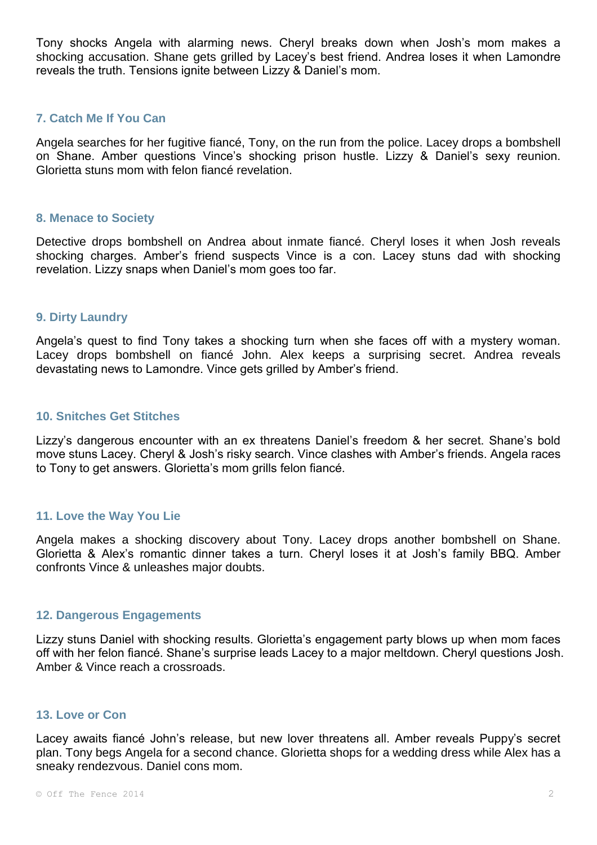Tony shocks Angela with alarming news. Cheryl breaks down when Josh's mom makes a shocking accusation. Shane gets grilled by Lacey's best friend. Andrea loses it when Lamondre reveals the truth. Tensions ignite between Lizzy & Daniel's mom.

# **7. Catch Me If You Can**

Angela searches for her fugitive fiancé, Tony, on the run from the police. Lacey drops a bombshell on Shane. Amber questions Vince's shocking prison hustle. Lizzy & Daniel's sexy reunion. Glorietta stuns mom with felon fiancé revelation.

# **8. Menace to Society**

Detective drops bombshell on Andrea about inmate fiancé. Cheryl loses it when Josh reveals shocking charges. Amber's friend suspects Vince is a con. Lacey stuns dad with shocking revelation. Lizzy snaps when Daniel's mom goes too far.

# **9. Dirty Laundry**

Angela's quest to find Tony takes a shocking turn when she faces off with a mystery woman. Lacey drops bombshell on fiancé John. Alex keeps a surprising secret. Andrea reveals devastating news to Lamondre. Vince gets grilled by Amber's friend.

#### **10. Snitches Get Stitches**

Lizzy's dangerous encounter with an ex threatens Daniel's freedom & her secret. Shane's bold move stuns Lacey. Cheryl & Josh's risky search. Vince clashes with Amber's friends. Angela races to Tony to get answers. Glorietta's mom grills felon fiancé.

# **11. Love the Way You Lie**

Angela makes a shocking discovery about Tony. Lacey drops another bombshell on Shane. Glorietta & Alex's romantic dinner takes a turn. Cheryl loses it at Josh's family BBQ. Amber confronts Vince & unleashes major doubts.

#### **12. Dangerous Engagements**

Lizzy stuns Daniel with shocking results. Glorietta's engagement party blows up when mom faces off with her felon fiancé. Shane's surprise leads Lacey to a major meltdown. Cheryl questions Josh. Amber & Vince reach a crossroads.

#### **13. Love or Con**

Lacey awaits fiancé John's release, but new lover threatens all. Amber reveals Puppy's secret plan. Tony begs Angela for a second chance. Glorietta shops for a wedding dress while Alex has a sneaky rendezvous. Daniel cons mom.